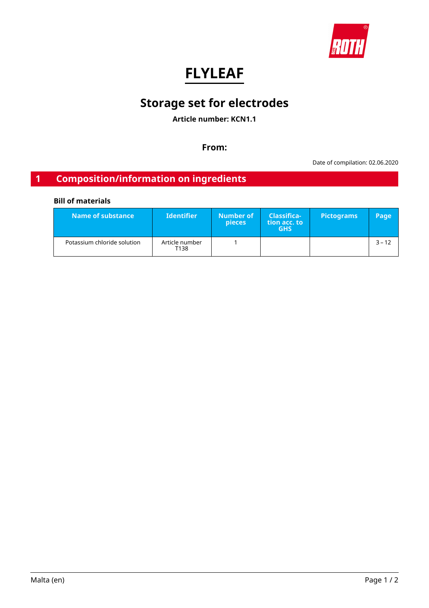

# **FLYLEAF**

# **Storage set for electrodes**

**Article number: KCN1.1**

**From:**

Date of compilation: 02.06.2020

# **1 Composition/information on ingredients**

## **Bill of materials**

| Name of substance           | <b>Identifier</b>      | Number of<br>pieces | <b>Classifica-</b><br>tion acc. to<br><b>GHS</b> | <b>Pictograms</b> | Page'    |
|-----------------------------|------------------------|---------------------|--------------------------------------------------|-------------------|----------|
| Potassium chloride solution | Article number<br>T138 |                     |                                                  |                   | $3 - 12$ |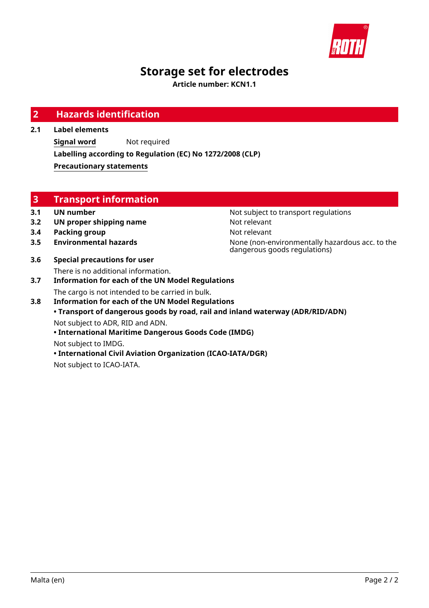

# **Storage set for electrodes**

**Article number: KCN1.1**

| <b>Hazards identification</b>                             |                                                                                                                                                                                                                                                                                                                                   |  |
|-----------------------------------------------------------|-----------------------------------------------------------------------------------------------------------------------------------------------------------------------------------------------------------------------------------------------------------------------------------------------------------------------------------|--|
| <b>Label elements</b>                                     |                                                                                                                                                                                                                                                                                                                                   |  |
| Not required<br><b>Signal word</b>                        |                                                                                                                                                                                                                                                                                                                                   |  |
| Labelling according to Regulation (EC) No 1272/2008 (CLP) |                                                                                                                                                                                                                                                                                                                                   |  |
| <b>Precautionary statements</b>                           |                                                                                                                                                                                                                                                                                                                                   |  |
|                                                           |                                                                                                                                                                                                                                                                                                                                   |  |
|                                                           |                                                                                                                                                                                                                                                                                                                                   |  |
|                                                           |                                                                                                                                                                                                                                                                                                                                   |  |
| <b>UN number</b>                                          | Not subject to transport regulations                                                                                                                                                                                                                                                                                              |  |
| UN proper shipping name                                   | Not relevant                                                                                                                                                                                                                                                                                                                      |  |
| <b>Packing group</b>                                      | Not relevant                                                                                                                                                                                                                                                                                                                      |  |
| <b>Environmental hazards</b>                              | None (non-environmentally hazardous acc. to the<br>dangerous goods regulations)                                                                                                                                                                                                                                                   |  |
| <b>Special precautions for user</b>                       |                                                                                                                                                                                                                                                                                                                                   |  |
| There is no additional information.                       |                                                                                                                                                                                                                                                                                                                                   |  |
|                                                           |                                                                                                                                                                                                                                                                                                                                   |  |
|                                                           |                                                                                                                                                                                                                                                                                                                                   |  |
|                                                           | • Transport of dangerous goods by road, rail and inland waterway (ADR/RID/ADN)                                                                                                                                                                                                                                                    |  |
|                                                           |                                                                                                                                                                                                                                                                                                                                   |  |
| • International Maritime Dangerous Goods Code (IMDG)      |                                                                                                                                                                                                                                                                                                                                   |  |
|                                                           |                                                                                                                                                                                                                                                                                                                                   |  |
|                                                           |                                                                                                                                                                                                                                                                                                                                   |  |
|                                                           | <b>Transport information</b><br><b>Information for each of the UN Model Regulations</b><br>The cargo is not intended to be carried in bulk.<br><b>Information for each of the UN Model Regulations</b><br>Not subject to ADR, RID and ADN.<br>Not subject to IMDG.<br>• International Civil Aviation Organization (ICAO-IATA/DGR) |  |

Not subject to ICAO-IATA.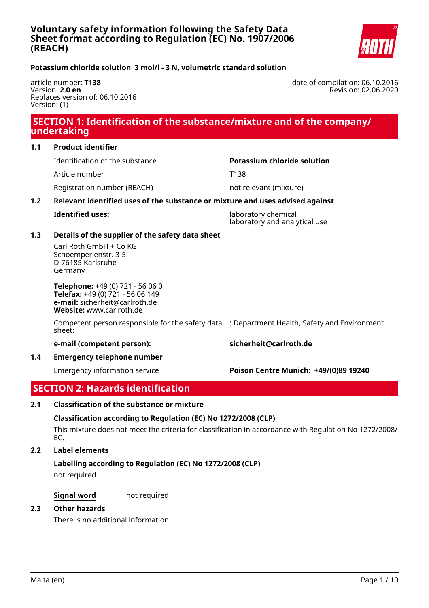

date of compilation: 06.10.2016

Revision: 02.06.2020

## <span id="page-2-0"></span>**Potassium chloride solution 3 mol/l - 3 N, volumetric standard solution**

article number: **T138** Version: **2.0 en** Replaces version of: 06.10.2016 Version: (1)

# **SECTION 1: Identification of the substance/mixture and of the company/ undertaking**

Identification of the substance **Potassium chloride solution**

Article number T138

Registration number (REACH) not relevant (mixture)

## **1.2 Relevant identified uses of the substance or mixture and uses advised against**

**Identified uses:** laboratory chemical laboratory and analytical use

## **1.3 Details of the supplier of the safety data sheet**

Carl Roth GmbH + Co KG Schoemperlenstr. 3-5 D-76185 Karlsruhe Germany

**Telephone:** +49 (0) 721 - 56 06 0 **Telefax:** +49 (0) 721 - 56 06 149 **e-mail:** sicherheit@carlroth.de **Website:** www.carlroth.de

Competent person responsible for the safety data : Department Health, Safety and Environment sheet:

**e-mail (competent person): sicherheit@carlroth.de**

**1.4 Emergency telephone number**

Emergency information service **Poison Centre Munich: +49/(0)89 19240**

# **SECTION 2: Hazards identification**

## **2.1 Classification of the substance or mixture**

**Classification according to Regulation (EC) No 1272/2008 (CLP)**

This mixture does not meet the criteria for classification in accordance with Regulation No 1272/2008/ EC.

## **2.2 Label elements**

## **Labelling according to Regulation (EC) No 1272/2008 (CLP)**

not required

**Signal word** not required

## **2.3 Other hazards**

There is no additional information.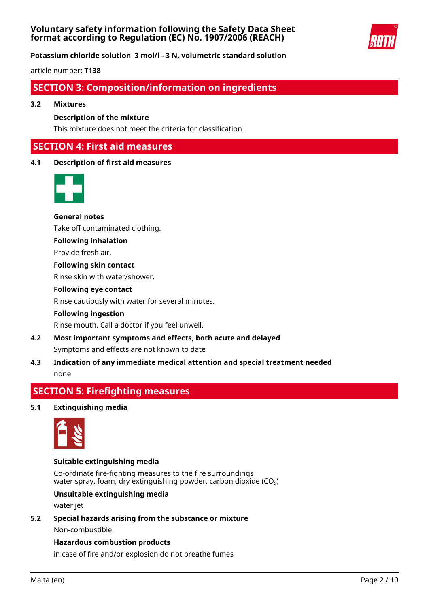

**Potassium chloride solution 3 mol/l - 3 N, volumetric standard solution**

article number: **T138**

## **SECTION 3: Composition/information on ingredients**

#### **3.2 Mixtures**

### **Description of the mixture**

This mixture does not meet the criteria for classification.

## **SECTION 4: First aid measures**

## **4.1 Description of first aid measures**



**General notes** Take off contaminated clothing.

# **Following inhalation**

Provide fresh air.

**Following skin contact** Rinse skin with water/shower.

## **Following eye contact**

Rinse cautiously with water for several minutes.

## **Following ingestion**

Rinse mouth. Call a doctor if you feel unwell.

- **4.2 Most important symptoms and effects, both acute and delayed** Symptoms and effects are not known to date
- **4.3 Indication of any immediate medical attention and special treatment needed** none

## **SECTION 5: Firefighting measures**

## **5.1 Extinguishing media**



## **Suitable extinguishing media**

Co-ordinate fire-fighting measures to the fire surroundings water spray, foam, dry extinguishing powder, carbon dioxide  $(CO<sub>2</sub>)$ 

## **Unsuitable extinguishing media**

water jet

**5.2 Special hazards arising from the substance or mixture** Non-combustible.

## **Hazardous combustion products**

in case of fire and/or explosion do not breathe fumes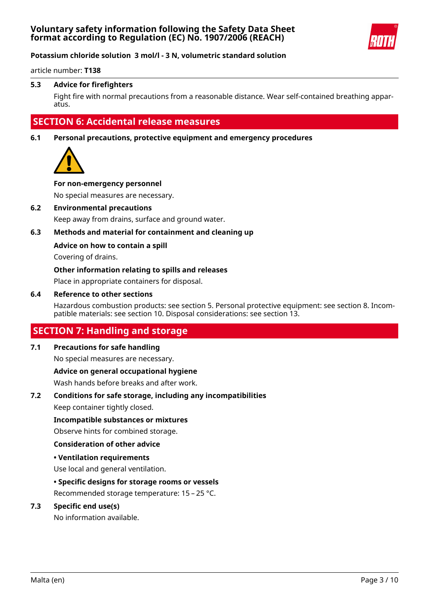

article number: **T138**

### **5.3 Advice for firefighters**

Fight fire with normal precautions from a reasonable distance. Wear self-contained breathing apparatus.

## **SECTION 6: Accidental release measures**

**6.1 Personal precautions, protective equipment and emergency procedures**



#### **For non-emergency personnel**

No special measures are necessary.

#### **6.2 Environmental precautions**

Keep away from drains, surface and ground water.

## **6.3 Methods and material for containment and cleaning up**

#### **Advice on how to contain a spill**

Covering of drains.

#### **Other information relating to spills and releases**

Place in appropriate containers for disposal.

#### **6.4 Reference to other sections**

Hazardous combustion products: see section 5. Personal protective equipment: see section 8. Incompatible materials: see section 10. Disposal considerations: see section 13.

## **SECTION 7: Handling and storage**

### **7.1 Precautions for safe handling**

No special measures are necessary.

#### **Advice on general occupational hygiene**

Wash hands before breaks and after work.

## **7.2 Conditions for safe storage, including any incompatibilities**

Keep container tightly closed.

#### **Incompatible substances or mixtures**

Observe hints for combined storage.

#### **Consideration of other advice**

#### **• Ventilation requirements**

Use local and general ventilation.

#### **• Specific designs for storage rooms or vessels**

Recommended storage temperature: 15 – 25 °C.

## **7.3 Specific end use(s)**

No information available.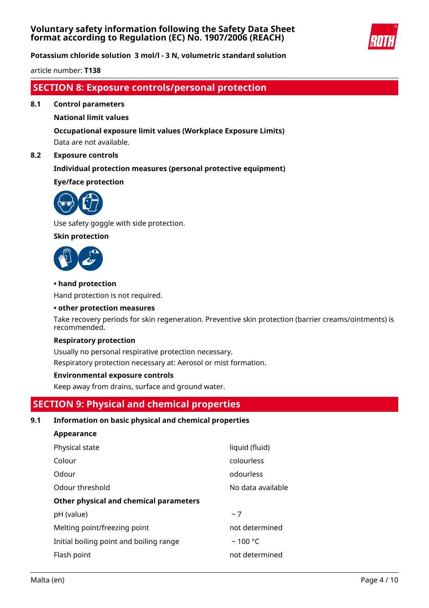

**Potassium chloride solution 3 mol/l - 3 N, volumetric standard solution**

article number: **T138**

## **SECTION 8: Exposure controls/personal protection**

**8.1 Control parameters**

## **National limit values**

## **Occupational exposure limit values (Workplace Exposure Limits)**

Data are not available.

## **8.2 Exposure controls**

## **Individual protection measures (personal protective equipment)**

## **Eye/face protection**



Use safety goggle with side protection.

## **Skin protection**



**Appearance**

## **• hand protection**

Hand protection is not required.

#### **• other protection measures**

Take recovery periods for skin regeneration. Preventive skin protection (barrier creams/ointments) is recommended.

#### **Respiratory protection**

Usually no personal respirative protection necessary. Respiratory protection necessary at: Aerosol or mist formation.

## **Environmental exposure controls**

Keep away from drains, surface and ground water.

# **SECTION 9: Physical and chemical properties**

## **9.1 Information on basic physical and chemical properties**

| <b>Appearance</b>                       |                   |
|-----------------------------------------|-------------------|
| Physical state                          | liquid (fluid)    |
| Colour                                  | colourless        |
| Odour                                   | odourless         |
| Odour threshold                         | No data available |
| Other physical and chemical parameters  |                   |
| pH (value)                              | ~1                |
| Melting point/freezing point            | not determined    |
| Initial boiling point and boiling range | $~100$ °C         |
| Flash point                             | not determined    |
|                                         |                   |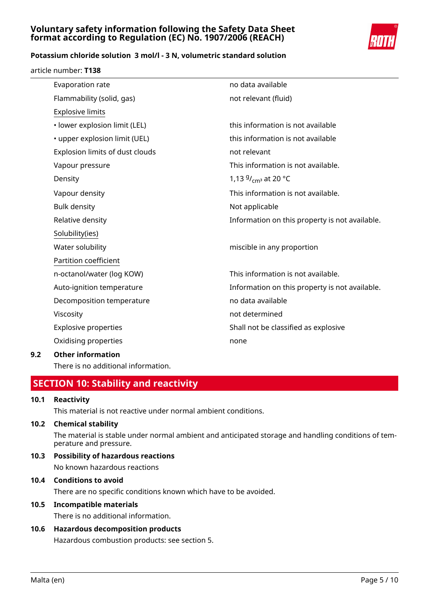

## **Potassium chloride solution 3 mol/l - 3 N, volumetric standard solution**

article number: **T138**

| Evaporation rate                | no data available                              |
|---------------------------------|------------------------------------------------|
| Flammability (solid, gas)       | not relevant (fluid)                           |
| <b>Explosive limits</b>         |                                                |
| · lower explosion limit (LEL)   | this information is not available              |
| • upper explosion limit (UEL)   | this information is not available              |
| Explosion limits of dust clouds | not relevant                                   |
| Vapour pressure                 | This information is not available.             |
| Density                         | 1,13 $9/$ <sub>cm</sub> at 20 °C               |
| Vapour density                  | This information is not available.             |
| <b>Bulk density</b>             | Not applicable                                 |
| Relative density                | Information on this property is not available. |
| Solubility(ies)                 |                                                |
| Water solubility                | miscible in any proportion                     |
| Partition coefficient           |                                                |
| n-octanol/water (log KOW)       | This information is not available.             |
| Auto-ignition temperature       | Information on this property is not available. |
| Decomposition temperature       | no data available                              |
| Viscosity                       | not determined                                 |
| <b>Explosive properties</b>     | Shall not be classified as explosive           |
| Oxidising properties            | none                                           |
| Othar information               |                                                |

## **9.2 Other information**

There is no additional information.

# **SECTION 10: Stability and reactivity**

## **10.1 Reactivity**

This material is not reactive under normal ambient conditions.

## **10.2 Chemical stability**

The material is stable under normal ambient and anticipated storage and handling conditions of temperature and pressure.

**10.3 Possibility of hazardous reactions** No known hazardous reactions

# **10.4 Conditions to avoid**

There are no specific conditions known which have to be avoided.

## **10.5 Incompatible materials**

There is no additional information.

## **10.6 Hazardous decomposition products** Hazardous combustion products: see section 5.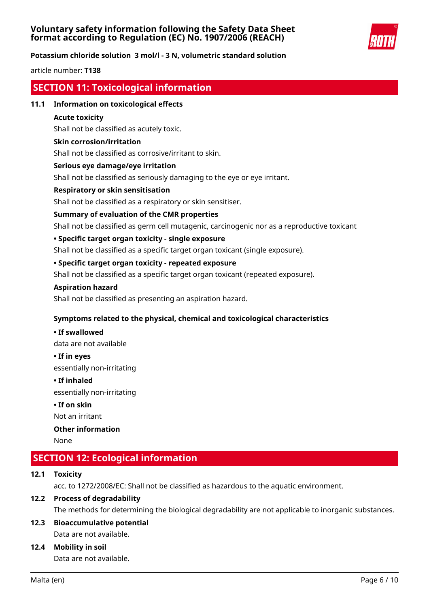

## **Potassium chloride solution 3 mol/l - 3 N, volumetric standard solution**

article number: **T138**

## **SECTION 11: Toxicological information**

### **11.1 Information on toxicological effects**

#### **Acute toxicity**

Shall not be classified as acutely toxic.

#### **Skin corrosion/irritation**

Shall not be classified as corrosive/irritant to skin.

#### **Serious eye damage/eye irritation**

Shall not be classified as seriously damaging to the eye or eye irritant.

### **Respiratory or skin sensitisation**

Shall not be classified as a respiratory or skin sensitiser.

#### **Summary of evaluation of the CMR properties**

Shall not be classified as germ cell mutagenic, carcinogenic nor as a reproductive toxicant

#### **• Specific target organ toxicity - single exposure**

Shall not be classified as a specific target organ toxicant (single exposure).

## **• Specific target organ toxicity - repeated exposure**

Shall not be classified as a specific target organ toxicant (repeated exposure).

#### **Aspiration hazard**

Shall not be classified as presenting an aspiration hazard.

## **Symptoms related to the physical, chemical and toxicological characteristics**

# **• If swallowed**

data are not available

**• If in eyes**

essentially non-irritating

#### **• If inhaled**

essentially non-irritating

## **• If on skin**

Not an irritant

## **Other information**

None

# **SECTION 12: Ecological information**

## **12.1 Toxicity**

acc. to 1272/2008/EC: Shall not be classified as hazardous to the aquatic environment.

## **12.2 Process of degradability**

The methods for determining the biological degradability are not applicable to inorganic substances.

# **12.3 Bioaccumulative potential**

Data are not available.

## **12.4 Mobility in soil**

Data are not available.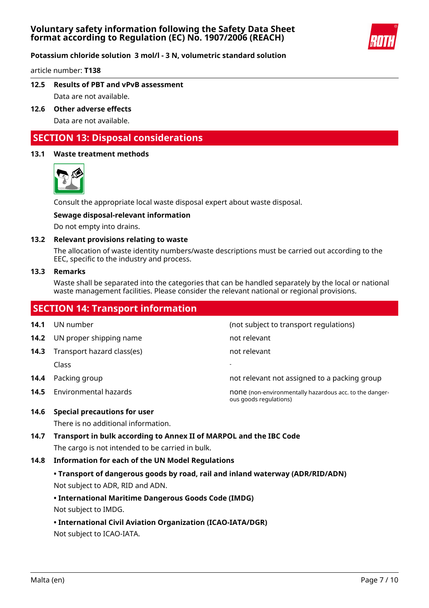

article number: **T138**

- **12.5 Results of PBT and vPvB assessment** Data are not available.
- **12.6 Other adverse effects** Data are not available.

## **SECTION 13: Disposal considerations**

## **13.1 Waste treatment methods**



Consult the appropriate local waste disposal expert about waste disposal.

## **Sewage disposal-relevant information**

Do not empty into drains.

#### **13.2 Relevant provisions relating to waste**

The allocation of waste identity numbers/waste descriptions must be carried out according to the EEC, specific to the industry and process.

#### **13.3 Remarks**

Waste shall be separated into the categories that can be handled separately by the local or national waste management facilities. Please consider the relevant national or regional provisions.

|      | <b>SECTION 14: Transport information</b> |                                                                                   |
|------|------------------------------------------|-----------------------------------------------------------------------------------|
| 14.1 | UN number                                | (not subject to transport regulations)                                            |
| 14.2 | UN proper shipping name                  | not relevant                                                                      |
| 14.3 | Transport hazard class(es)               | not relevant                                                                      |
|      | Class                                    |                                                                                   |
| 14.4 | Packing group                            | not relevant not assigned to a packing group                                      |
| 14.5 | Environmental hazards                    | none (non-environmentally hazardous acc. to the danger-<br>ous goods regulations) |
| 14.6 | Special precautions for user             |                                                                                   |

There is no additional information.

**14.7 Transport in bulk according to Annex II of MARPOL and the IBC Code** The cargo is not intended to be carried in bulk.

## **14.8 Information for each of the UN Model Regulations**

**• Transport of dangerous goods by road, rail and inland waterway (ADR/RID/ADN)** Not subject to ADR, RID and ADN.

## **• International Maritime Dangerous Goods Code (IMDG)**

Not subject to IMDG.

**• International Civil Aviation Organization (ICAO-IATA/DGR)**

Not subject to ICAO-IATA.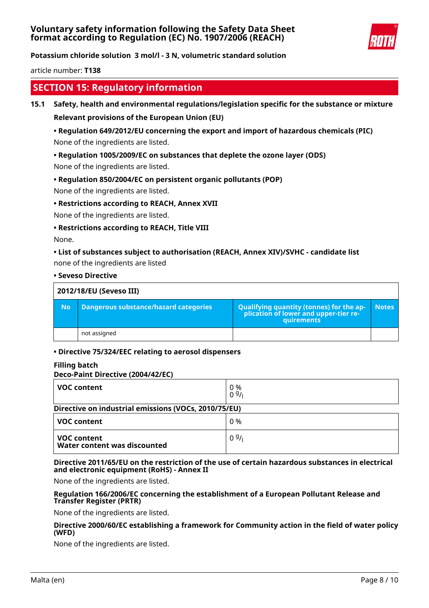

**Potassium chloride solution 3 mol/l - 3 N, volumetric standard solution**

article number: **T138**

## **SECTION 15: Regulatory information**

### **15.1 Safety, health and environmental regulations/legislation specific for the substance or mixture**

**Relevant provisions of the European Union (EU)**

## **• Regulation 649/2012/EU concerning the export and import of hazardous chemicals (PIC)** None of the ingredients are listed.

## **• Regulation 1005/2009/EC on substances that deplete the ozone layer (ODS)**

None of the ingredients are listed.

## **• Regulation 850/2004/EC on persistent organic pollutants (POP)**

None of the ingredients are listed.

## **• Restrictions according to REACH, Annex XVII**

None of the ingredients are listed.

#### **• Restrictions according to REACH, Title VIII**

None.

## **• List of substances subject to authorisation (REACH, Annex XIV)/SVHC - candidate list**

none of the ingredients are listed

#### **• Seveso Directive**

| 2012/18/EU (Seveso III) |                                       |                                                                                            |              |  |
|-------------------------|---------------------------------------|--------------------------------------------------------------------------------------------|--------------|--|
| <b>No</b>               | Dangerous substance/hazard categories | Qualifying quantity (tonnes) for the application of lower and upper-tier re-<br>quirements | <b>Notes</b> |  |
|                         | not assigned                          |                                                                                            |              |  |

## **• Directive 75/324/EEC relating to aerosol dispensers**

## **Filling batch**

#### **Deco-Paint Directive (2004/42/EC)**

| <b>VOC content</b>                                   | 0 %<br>09/1 |  |  |  |
|------------------------------------------------------|-------------|--|--|--|
| Directive on industrial emissions (VOCs, 2010/75/EU) |             |  |  |  |
| <b>VOC content</b>                                   | 0 %         |  |  |  |
| <b>VOC content</b><br>Water content was discounted   | 09/1        |  |  |  |

#### **Directive 2011/65/EU on the restriction of the use of certain hazardous substances in electrical and electronic equipment (RoHS) - Annex II**

None of the ingredients are listed.

#### **Regulation 166/2006/EC concerning the establishment of a European Pollutant Release and Transfer Register (PRTR)**

None of the ingredients are listed.

#### **Directive 2000/60/EC establishing a framework for Community action in the field of water policy (WFD)**

None of the ingredients are listed.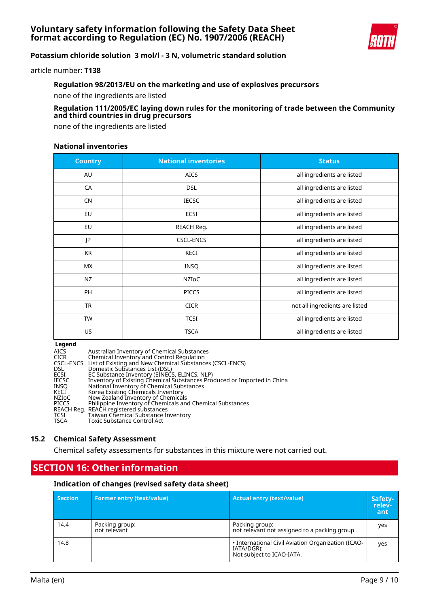

article number: **T138**

## **Regulation 98/2013/EU on the marketing and use of explosives precursors**

none of the ingredients are listed

## **Regulation 111/2005/EC laying down rules for the monitoring of trade between the Community and third countries in drug precursors**

none of the ingredients are listed

### **National inventories**

| <b>Country</b> | <b>National inventories</b> | <b>Status</b>                  |
|----------------|-----------------------------|--------------------------------|
| AU             | <b>AICS</b>                 | all ingredients are listed     |
| CA             | <b>DSL</b>                  | all ingredients are listed     |
| <b>CN</b>      | <b>IECSC</b>                | all ingredients are listed     |
| EU             | ECSI                        | all ingredients are listed     |
| EU             | REACH Reg.                  | all ingredients are listed     |
| JP             | <b>CSCL-ENCS</b>            | all ingredients are listed     |
| <b>KR</b>      | <b>KECI</b>                 | all ingredients are listed     |
| MX             | <b>INSQ</b>                 | all ingredients are listed     |
| <b>NZ</b>      | NZIoC                       | all ingredients are listed     |
| PH             | <b>PICCS</b>                | all ingredients are listed     |
| <b>TR</b>      | <b>CICR</b>                 | not all ingredients are listed |
| TW             | <b>TCSI</b>                 | all ingredients are listed     |
| US             | <b>TSCA</b>                 | all ingredients are listed     |

#### **Legend**

| <b>AICS</b>  | Australian Inventory of Chemical Substances                             |
|--------------|-------------------------------------------------------------------------|
| CICR         | Chemical Inventory and Control Regulation                               |
|              | CSCL-ENCS List of Existing and New Chemical Substances (CSCL-ENCS)      |
| <b>DSL</b>   | Domestic Substances List (DSL)                                          |
| ECSI         | EC Substance Inventory (EINECS, ELINCS, NLP)                            |
| <b>IECSC</b> | Inventory of Existing Chemical Substances Produced or Imported in China |
| INSO         | National Inventory of Chemical Substances                               |
| KECI         | Korea Existing Chemicals Inventory                                      |
| NZIoC        | New Zealand Inventory of Chemicals                                      |
| PICCS        | Philippine Inventory of Chemicals and Chemical Substances               |
|              | REACH Reg. REACH registered substances                                  |
| TCSI         | Taiwan Chemical Substance Inventory                                     |
| <b>TSCA</b>  | Toxic Substance Control Act                                             |
|              |                                                                         |

## **15.2 Chemical Safety Assessment**

Chemical safety assessments for substances in this mixture were not carried out.

# **SECTION 16: Other information**

#### **Indication of changes (revised safety data sheet)**

| <b>Section</b> | <b>Former entry (text/value)</b> | Actual entry (text/value),                                                                    | Safety-<br>relev-<br>ant |
|----------------|----------------------------------|-----------------------------------------------------------------------------------------------|--------------------------|
| 14.4           | Packing group:<br>not relevant   | Packing group:<br>not relevant not assigned to a packing group                                | ves                      |
| 14.8           |                                  | . International Civil Aviation Organization (ICAO-<br>IATA/DGR):<br>Not subject to ICAO-IATA. | yes                      |